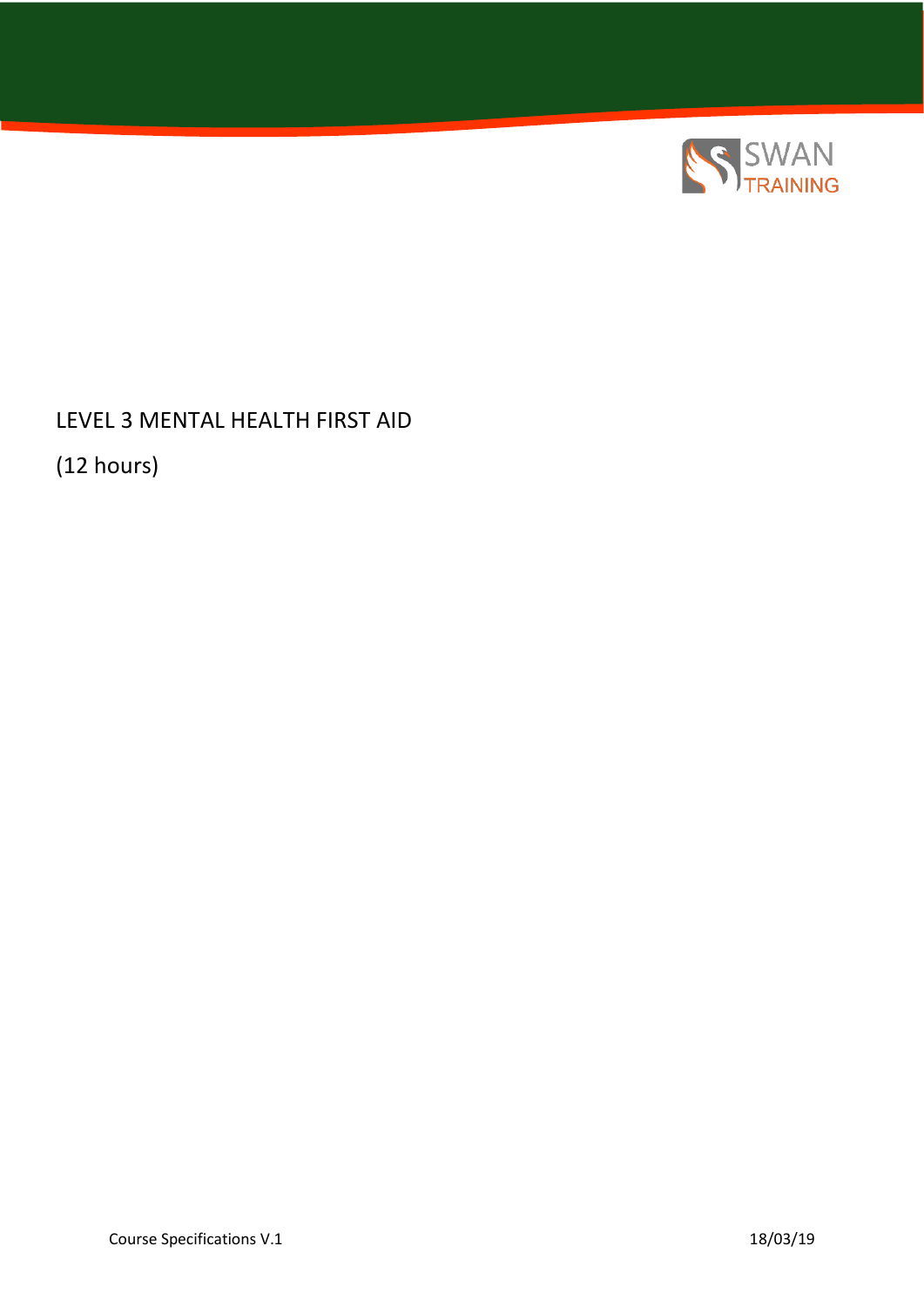

LEVEL 3 MENTAL HEALTH FIRST AID

(12 hours)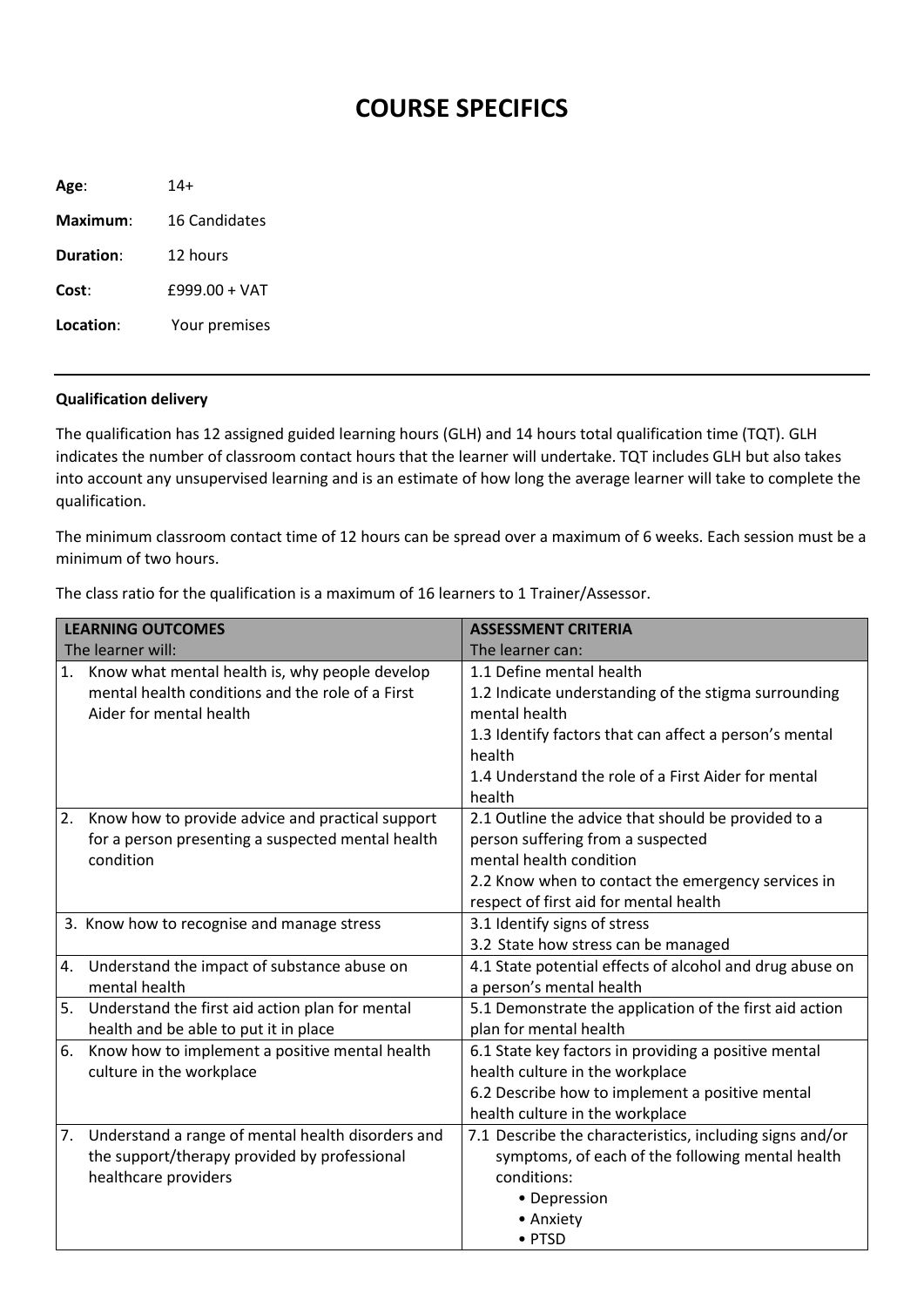## **COURSE SPECIFICS**

| Age:      | $14+$                |
|-----------|----------------------|
| Maximum:  | <b>16 Candidates</b> |
| Duration: | 12 hours             |
| Cost:     | $f999.00 + VAT$      |
| Location: | Your premises        |
|           |                      |

## **Qualification delivery**

The qualification has 12 assigned guided learning hours (GLH) and 14 hours total qualification time (TQT). GLH indicates the number of classroom contact hours that the learner will undertake. TQT includes GLH but also takes into account any unsupervised learning and is an estimate of how long the average learner will take to complete the qualification.

The minimum classroom contact time of 12 hours can be spread over a maximum of 6 weeks. Each session must be a minimum of two hours.

| <b>LEARNING OUTCOMES</b> |                                                   | <b>ASSESSMENT CRITERIA</b>                               |
|--------------------------|---------------------------------------------------|----------------------------------------------------------|
|                          | The learner will:                                 | The learner can:                                         |
| 1.                       | Know what mental health is, why people develop    | 1.1 Define mental health                                 |
|                          | mental health conditions and the role of a First  | 1.2 Indicate understanding of the stigma surrounding     |
|                          | Aider for mental health                           | mental health                                            |
|                          |                                                   | 1.3 Identify factors that can affect a person's mental   |
|                          |                                                   | health                                                   |
|                          |                                                   | 1.4 Understand the role of a First Aider for mental      |
|                          |                                                   | health                                                   |
| 2.                       | Know how to provide advice and practical support  | 2.1 Outline the advice that should be provided to a      |
|                          | for a person presenting a suspected mental health | person suffering from a suspected                        |
|                          | condition                                         | mental health condition                                  |
|                          |                                                   | 2.2 Know when to contact the emergency services in       |
|                          |                                                   | respect of first aid for mental health                   |
|                          | 3. Know how to recognise and manage stress        | 3.1 Identify signs of stress                             |
|                          |                                                   | 3.2 State how stress can be managed                      |
| 4.                       | Understand the impact of substance abuse on       | 4.1 State potential effects of alcohol and drug abuse on |
|                          | mental health                                     | a person's mental health                                 |
| 5.                       | Understand the first aid action plan for mental   | 5.1 Demonstrate the application of the first aid action  |
|                          | health and be able to put it in place             | plan for mental health                                   |
| 6.                       | Know how to implement a positive mental health    | 6.1 State key factors in providing a positive mental     |
|                          | culture in the workplace                          | health culture in the workplace                          |
|                          |                                                   | 6.2 Describe how to implement a positive mental          |
|                          |                                                   | health culture in the workplace                          |
| 7.                       | Understand a range of mental health disorders and | 7.1 Describe the characteristics, including signs and/or |
|                          | the support/therapy provided by professional      | symptoms, of each of the following mental health         |
|                          | healthcare providers                              | conditions:                                              |
|                          |                                                   | • Depression                                             |
|                          |                                                   | • Anxiety                                                |
|                          |                                                   | • PTSD                                                   |

The class ratio for the qualification is a maximum of 16 learners to 1 Trainer/Assessor.